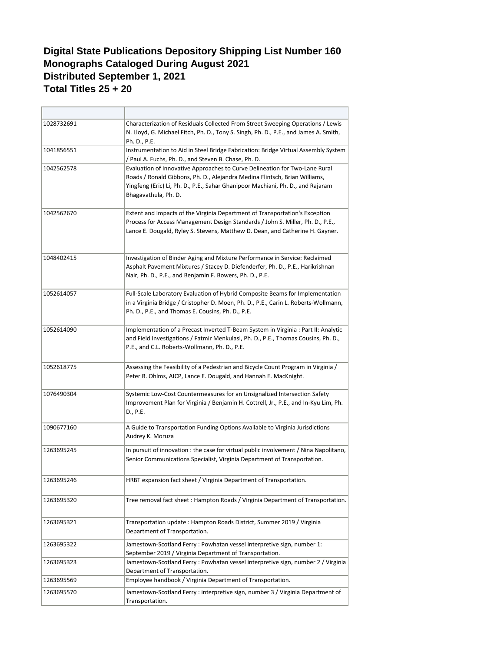## **Digital State Publications Depository Shipping List Number 160 Monographs Cataloged During August 2021 Distributed September 1, 2021 Total Titles 25 + 20**

| 1028732691 | Characterization of Residuals Collected From Street Sweeping Operations / Lewis<br>N. Lloyd, G. Michael Fitch, Ph. D., Tony S. Singh, Ph. D., P.E., and James A. Smith,<br>Ph. D., P.E.                                                                              |
|------------|----------------------------------------------------------------------------------------------------------------------------------------------------------------------------------------------------------------------------------------------------------------------|
| 1041856551 | Instrumentation to Aid in Steel Bridge Fabrication: Bridge Virtual Assembly System<br>/ Paul A. Fuchs, Ph. D., and Steven B. Chase, Ph. D.                                                                                                                           |
| 1042562578 | Evaluation of Innovative Approaches to Curve Delineation for Two-Lane Rural<br>Roads / Ronald Gibbons, Ph. D., Alejandra Medina Flintsch, Brian Williams,<br>Yingfeng (Eric) Li, Ph. D., P.E., Sahar Ghanipoor Machiani, Ph. D., and Rajaram<br>Bhagavathula, Ph. D. |
| 1042562670 | Extent and Impacts of the Virginia Department of Transportation's Exception<br>Process for Access Management Design Standards / John S. Miller, Ph. D., P.E.,<br>Lance E. Dougald, Ryley S. Stevens, Matthew D. Dean, and Catherine H. Gayner.                       |
| 1048402415 | Investigation of Binder Aging and Mixture Performance in Service: Reclaimed<br>Asphalt Pavement Mixtures / Stacey D. Diefenderfer, Ph. D., P.E., Harikrishnan<br>Nair, Ph. D., P.E., and Benjamin F. Bowers, Ph. D., P.E.                                            |
| 1052614057 | Full-Scale Laboratory Evaluation of Hybrid Composite Beams for Implementation<br>in a Virginia Bridge / Cristopher D. Moen, Ph. D., P.E., Carin L. Roberts-Wollmann,<br>Ph. D., P.E., and Thomas E. Cousins, Ph. D., P.E.                                            |
| 1052614090 | Implementation of a Precast Inverted T-Beam System in Virginia : Part II: Analytic<br>and Field Investigations / Fatmir Menkulasi, Ph. D., P.E., Thomas Cousins, Ph. D.,<br>P.E., and C.L. Roberts-Wollmann, Ph. D., P.E.                                            |
| 1052618775 | Assessing the Feasibility of a Pedestrian and Bicycle Count Program in Virginia /<br>Peter B. Ohlms, AICP, Lance E. Dougald, and Hannah E. MacKnight.                                                                                                                |
| 1076490304 | Systemic Low-Cost Countermeasures for an Unsignalized Intersection Safety<br>Improvement Plan for Virginia / Benjamin H. Cottrell, Jr., P.E., and In-Kyu Lim, Ph.<br>D., P.E.                                                                                        |
| 1090677160 | A Guide to Transportation Funding Options Available to Virginia Jurisdictions<br>Audrey K. Moruza                                                                                                                                                                    |
| 1263695245 | In pursuit of innovation : the case for virtual public involvement / Nina Napolitano,<br>Senior Communications Specialist, Virginia Department of Transportation.                                                                                                    |
| 1263695246 | HRBT expansion fact sheet / Virginia Department of Transportation.                                                                                                                                                                                                   |
| 1263695320 | Tree removal fact sheet: Hampton Roads / Virginia Department of Transportation.                                                                                                                                                                                      |
| 1263695321 | Transportation update: Hampton Roads District, Summer 2019 / Virginia<br>Department of Transportation.                                                                                                                                                               |
| 1263695322 | Jamestown-Scotland Ferry: Powhatan vessel interpretive sign, number 1:<br>September 2019 / Virginia Department of Transportation.                                                                                                                                    |
| 1263695323 | Jamestown-Scotland Ferry: Powhatan vessel interpretive sign, number 2 / Virginia<br>Department of Transportation.                                                                                                                                                    |
| 1263695569 | Employee handbook / Virginia Department of Transportation.                                                                                                                                                                                                           |
| 1263695570 | Jamestown-Scotland Ferry : interpretive sign, number 3 / Virginia Department of<br>Transportation.                                                                                                                                                                   |